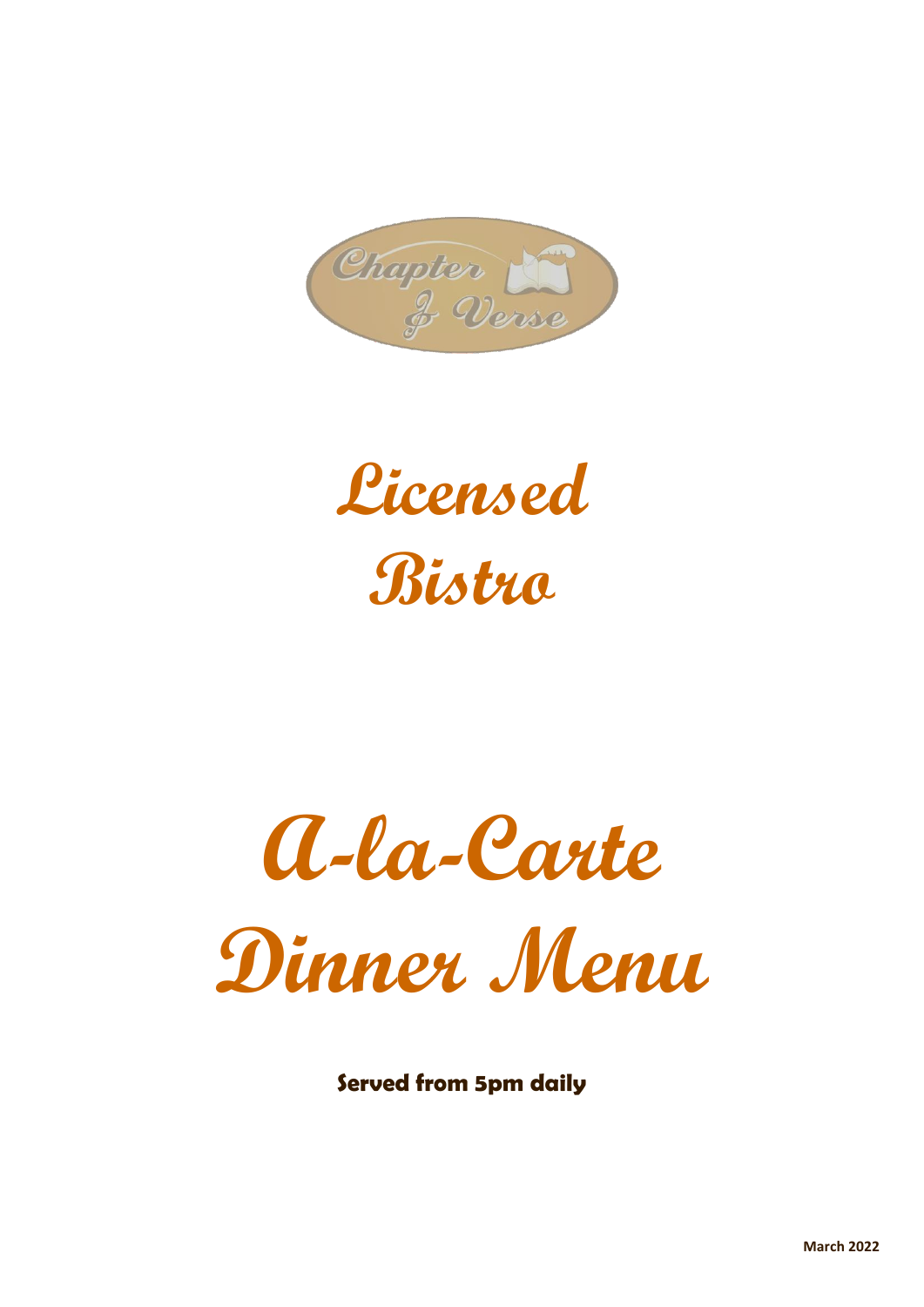

**Licensed Bistro**

**A-la-Carte Dinner Menu**

**Served from 5pm daily**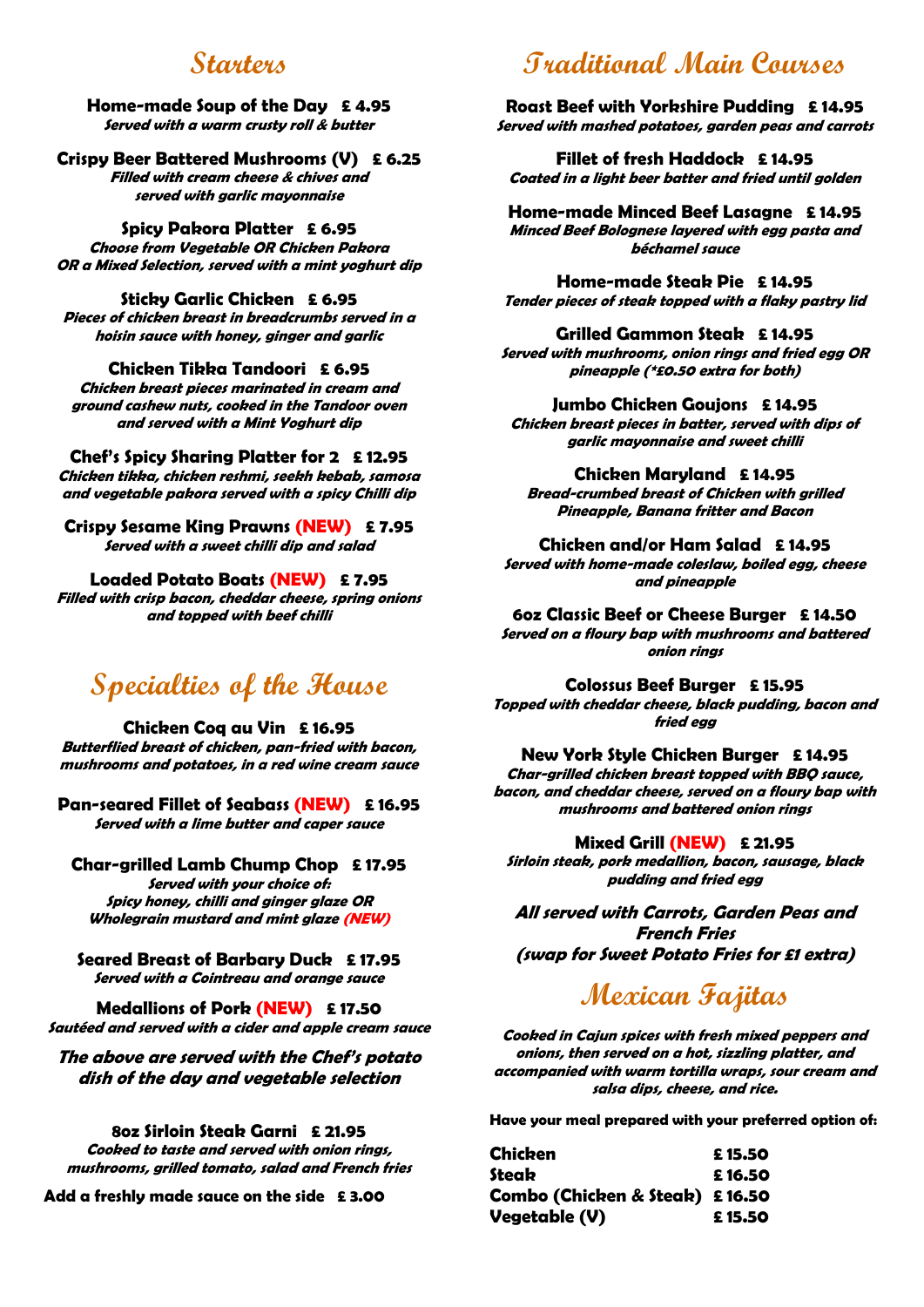## **Starters**

#### **Home-made Soup of the Day £ 4.95 Served with a warm crusty roll & butter**

**Crispy Beer Battered Mushrooms (V) £ 6.25 Filled with cream cheese & chives and served with garlic mayonnaise**

#### **Spicy Pakora Platter £ 6.95**

**Choose from Vegetable OR Chicken Pakora OR a Mixed Selection, served with a mint yoghurt dip**

#### **Sticky Garlic Chicken £ 6.95**

**Pieces of chicken breast in breadcrumbs served in a hoisin sauce with honey, ginger and garlic**

**Chicken Tikka Tandoori £ 6.95 Chicken breast pieces marinated in cream and**

**ground cashew nuts, cooked in the Tandoor oven and served with a Mint Yoghurt dip**

**Chef's Spicy Sharing Platter for 2 £ 12.95 Chicken tikka, chicken reshmi, seekh kebab, samosa and vegetable pakora served with a spicy Chilli dip**

**Crispy Sesame King Prawns (NEW) £ 7.95 Served with <sup>a</sup> sweet chilli dip and salad**

**Loaded Potato Boats (NEW) £ 7.95**

**Filled with crisp bacon, cheddar cheese, spring onions and topped with beef chilli**

# **Specialties of the House**

**Chicken Coq au Vin £ 16.95 Butterflied breast of chicken, pan-fried with bacon, mushrooms and potatoes, in a red wine cream sauce**

**Pan-seared Fillet of Seabass (NEW) £ 16.95 Served with a lime butter and caper sauce**

**Char-grilled Lamb Chump Chop £ 17.95 Served with your choice of: Spicy honey, chilli and ginger glaze OR Wholegrain mustard and mint glaze (NEW)**

**Seared Breast of Barbary Duck £ 17.95 Served with a Cointreau and orange sauce**

**Medallions of Pork (NEW) £ 17.50 Sautéed and served with a cider and apple cream sauce**

**The above are served with the Chef's potato dish of the day and vegetable selection**

### **8oz Sirloin Steak Garni £ 21.95**

**Cooked to taste and served with onion rings, mushrooms, grilled tomato, salad and French fries**

**Add a freshly made sauce on the side £ 3.00**

# **Traditional Main Courses**

**Roast Beef with Yorkshire Pudding £ 14.95 Served with mashed potatoes, garden peas and carrots**

**Fillet of fresh Haddock £ 14.95 Coated in a light beer batter and fried until golden**

**Home-made Minced Beef Lasagne £ 14.95 Minced Beef Bolognese layered with egg pasta and béchamel sauce**

**Home-made Steak Pie £ 14.95 Tender pieces of steak topped with a flaky pastry lid**

#### **Grilled Gammon Steak £ 14.95**

**Served with mushrooms, onion rings and fried egg OR pineapple (\*£0.50 extra for both)**

#### **Jumbo Chicken Goujons £ 14.95**

**Chicken breast pieces in batter, served with dips of garlic mayonnaise and sweet chilli**

#### **Chicken Maryland £ 14.95**

**Bread-crumbed breast of Chicken with grilled Pineapple, Banana fritter and Bacon**

#### **Chicken and/or Ham Salad £ 14.95**

**Served with home-made coleslaw, boiled egg, cheese and pineapple**

**6oz Classic Beef or Cheese Burger £ 14.50 Served on a floury bap with mushrooms and battered onion rings**

**Colossus Beef Burger £ 15.95 Topped with cheddar cheese, black pudding, bacon and fried egg**

#### **New York Style Chicken Burger £ 14.95**

**Char-grilled chicken breast topped with BBQ sauce, bacon, and cheddar cheese, served on a floury bap with mushrooms and battered onion rings**

#### **Mixed Grill (NEW) £ 21.95**

**Sirloin steak, pork medallion, bacon, sausage, black pudding and fried egg**

**All served with Carrots, Garden Peas and French Fries (swap for Sweet Potato Fries for £1 extra)**

# **Mexican Fajitas**

**Cooked in Cajun spices with fresh mixed peppers and onions, then served on a hot, sizzling platter, and accompanied with warm tortilla wraps, sour cream and salsa dips, cheese, and rice.**

**Have your meal prepared with your preferred option of:**

| <b>Chicken</b>                 | £15.50 |
|--------------------------------|--------|
| Steak                          | £16.50 |
| Combo (Chicken & Steak) £16.50 |        |
| Vegetable (V)                  | £15.50 |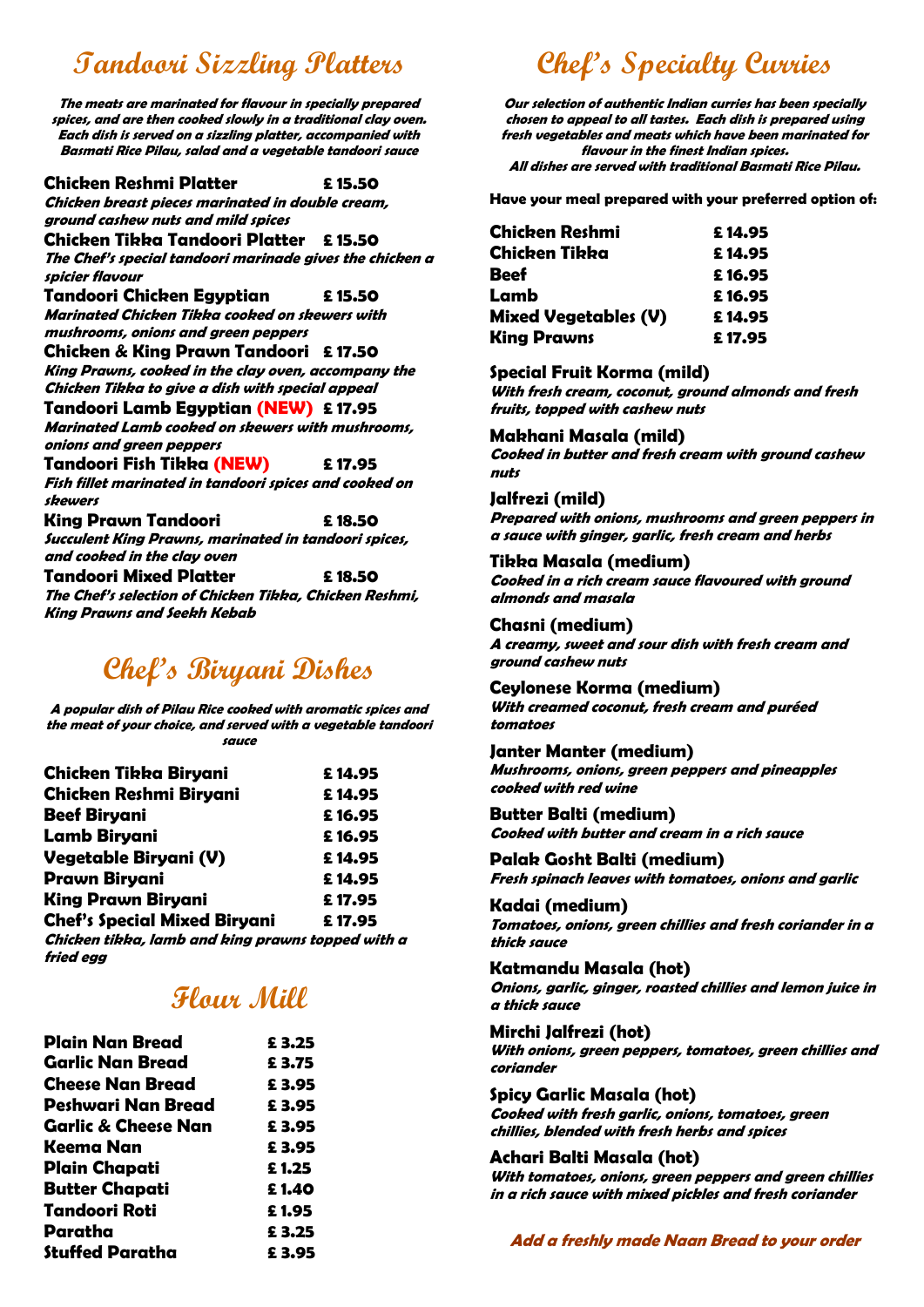# **Tandoori Sizzling Platters**

**The meats are marinated for flavour in specially prepared spices, and are then cooked slowly in a traditional clay oven. Each dish is served on a sizzling platter, accompanied with Basmati Rice Pilau, salad and a vegetable tandoori sauce Chicken Reshmi Platter £ 15.50 Chicken breast pieces marinated in double cream, ground cashew nuts and mild spices Chicken Tikka Tandoori Platter £ 15.50 The Chef's special tandoori marinade gives the chicken a spicier flavour Tandoori Chicken Egyptian £ 15.50 Marinated Chicken Tikka cooked on skewers with mushrooms, onions and green peppers Chicken & King Prawn Tandoori £ 17.50 King Prawns, cooked in the clay oven, accompany the Chicken Tikka to give a dish with special appeal Tandoori Lamb Egyptian (NEW) £ 17.95 Marinated Lamb cooked on skewers with mushrooms, onions and green peppers Tandoori Fish Tikka (NEW) £ 17.95 Fish fillet marinated in tandoori spices and cooked on skewers King Prawn Tandoori £ 18.50 Succulent King Prawns, marinated in tandoori spices, and cooked in the clay oven Tandoori Mixed Platter £ 18.50 The Chef's selection of Chicken Tikka, Chicken Reshmi, King Prawns and Seekh Kebab**

# **Chef's Biryani Dishes**

**A popular dish of Pilau Rice cooked with aromatic spices and the meat of your choice, and served with a vegetable tandoori sauce**

| <b>Chicken Tikka Biryani</b>                      | £14.95 |
|---------------------------------------------------|--------|
| <b>Chicken Reshmi Biryani</b>                     | £14.95 |
| <b>Beef Biryani</b>                               | £16.95 |
| <b>Lamb Biryani</b>                               | £16.95 |
| Vegetable Biryani (V)                             | £14.95 |
| <b>Prawn Biryani</b>                              | £14.95 |
| <b>King Prawn Biryani</b>                         | £17.95 |
| <b>Chef's Special Mixed Biryani</b>               | £17.95 |
| Chicken tikka, lamb and king prawns topped with a |        |
| fried egg                                         |        |

# **Flour Mill**

| <b>Plain Nan Bread</b>         | £3.25 |
|--------------------------------|-------|
| <b>Garlic Nan Bread</b>        | £3.75 |
| <b>Cheese Nan Bread</b>        | £3.95 |
| Peshwari Nan Bread             | £3.95 |
| <b>Garlic &amp; Cheese Nan</b> | £3.95 |
| Keema Nan                      | £3.95 |
| <b>Plain Chapati</b>           | £1.25 |
| <b>Butter Chapati</b>          | £1.40 |
| <b>Tandoori Roti</b>           | £1.95 |
| Paratha                        | £3.25 |
| <b>Stuffed Paratha</b>         | £3.95 |

# **Chef's Specialty Curries**

**Our selection of authentic Indian curries has been specially chosen to appeal to all tastes. Each dish is prepared using fresh vegetables and meats which have been marinated for flavour in the finest Indian spices. All dishes are served with traditional Basmati Rice Pilau.**

**Have your meal prepared with your preferred option of:**

| <b>Chicken Reshmi</b>       | £14.95 |
|-----------------------------|--------|
| <b>Chicken Tikka</b>        | £14.95 |
| <b>Beef</b>                 | £16.95 |
| Lamb                        | £16.95 |
| <b>Mixed Vegetables (V)</b> | £14.95 |
| <b>King Prawns</b>          | £17.95 |

## **Special Fruit Korma (mild)**

**With fresh cream, coconut, ground almonds and fresh fruits, topped with cashew nuts**

## **Makhani Masala (mild)**

**Cooked in butter and fresh cream with ground cashew nuts**

## **Jalfrezi (mild)**

**Prepared with onions, mushrooms and green peppers in a sauce with ginger, garlic, fresh cream and herbs**

## **Tikka Masala (medium)**

**Cooked in a rich cream sauce flavoured with ground almonds and masala**

### **Chasni (medium)**

**A creamy, sweet and sour dish with fresh cream and ground cashew nuts**

## **Ceylonese Korma (medium)**

**With creamed coconut, fresh cream and puréed tomatoes**

#### **Janter Manter (medium)**

**Mushrooms, onions, green peppers and pineapples cooked with red wine**

#### **Butter Balti (medium)**

**Cooked with butter and cream in a rich sauce**

**Palak Gosht Balti (medium) Fresh spinach leaves with tomatoes, onions and garlic**

#### **Kadai (medium)**

**Tomatoes, onions, green chillies and fresh coriander in a thick sauce**

#### **Katmandu Masala (hot)**

**Onions, garlic, ginger, roasted chillies and lemon juice in a thick sauce**

#### **Mirchi Jalfrezi (hot)**

**With onions, green peppers, tomatoes, green chillies and coriander**

#### **Spicy Garlic Masala (hot)**

**Cooked with fresh garlic, onions, tomatoes, green chillies, blended with fresh herbs and spices**

#### **Achari Balti Masala (hot)**

**With tomatoes, onions, green peppers and green chillies in a rich sauce with mixed pickles and fresh coriander**

**Add a freshly made Naan Bread to your order**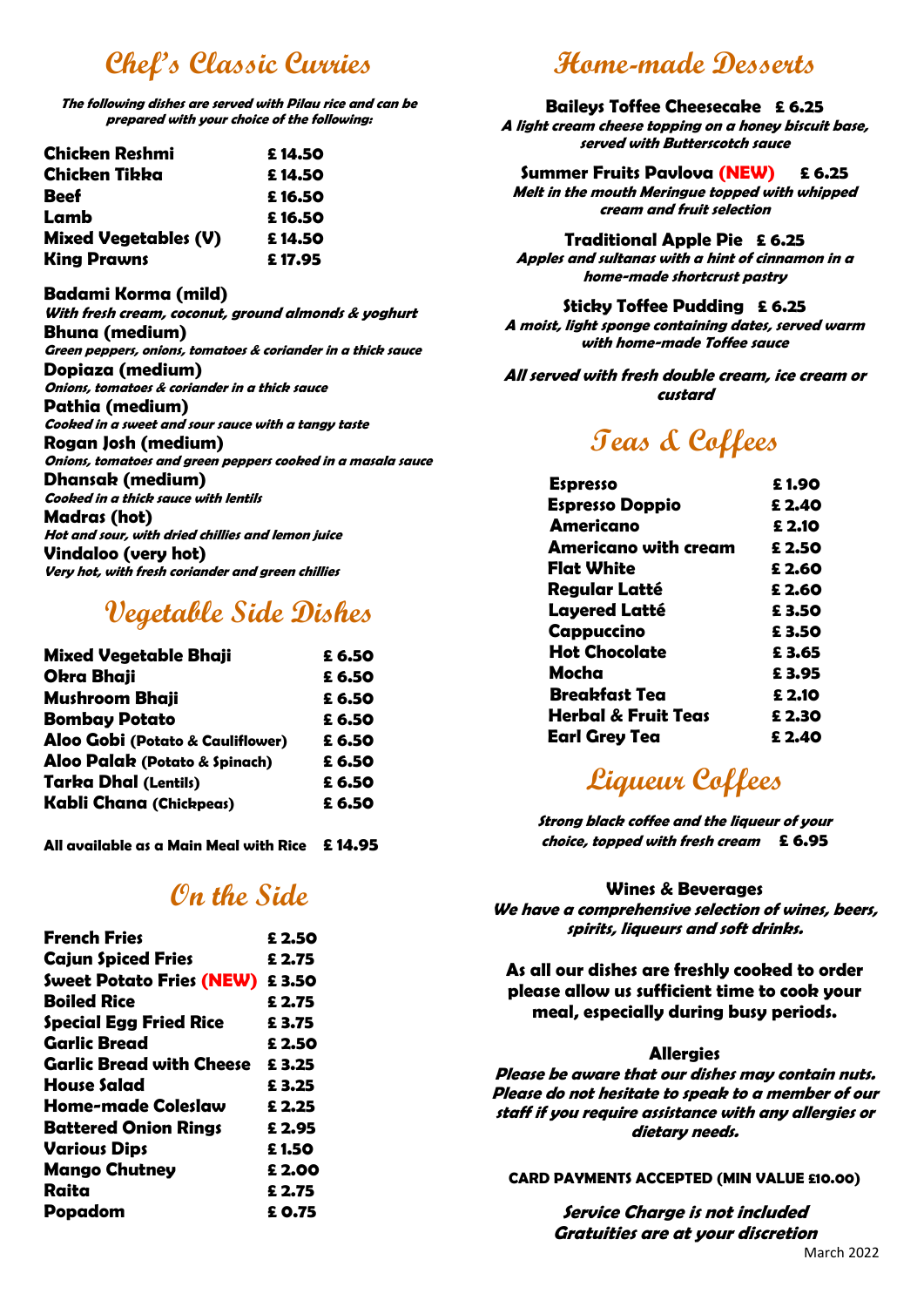# **Chef's Classic Curries**

**The following dishes are served with Pilau rice and can be prepared with your choice of the following:**

| <b>Chicken Reshmi</b>       | £14.50 |
|-----------------------------|--------|
| <b>Chicken Tikka</b>        | £14.50 |
| <b>Beef</b>                 | £16.50 |
| Lamb                        | £16.50 |
| <b>Mixed Vegetables (V)</b> | £14.50 |
| <b>King Prawns</b>          | £17.95 |

### **Badami Korma (mild)**

**With fresh cream, coconut, ground almonds & yoghurt Bhuna (medium) Green peppers, onions, tomatoes & coriander in a thick sauce Dopiaza (medium) Onions, tomatoes & coriander in a thick sauce Pathia (medium) Cooked in a sweet and sour sauce with a tangy taste Rogan Josh (medium) Onions, tomatoes and green peppers cooked in a masala sauce Dhansak (medium) Cooked in a thick sauce with lentils Madras (hot) Hot and sour, with dried chillies and lemon juice Vindaloo (very hot) Very hot, with fresh coriander and green chillies**

## **Vegetable Side Dishes**

| <b>Mixed Vegetable Bhaji</b>     | £ 6.50 |
|----------------------------------|--------|
| <b>Okra Bhaji</b>                | £ 6.50 |
| <b>Mushroom Bhaji</b>            | £6.50  |
| <b>Bombay Potato</b>             | £ 6.50 |
| Aloo Gobi (Potato & Cauliflower) | £ 6.50 |
| Aloo Palak (Potato & Spinach)    | £ 6.50 |
| <b>Tarka Dhal (Lentils)</b>      | £ 6.50 |
| Kabli Chana (Chickpeas)          | £ 6.50 |
|                                  |        |

**All available as a Main Meal with Rice £ 14.95**

# **On the Side**

| £ 2.50                            |
|-----------------------------------|
| £ 2.75                            |
| Sweet Potato Fries (NEW)<br>£3.50 |
| £ 2.75                            |
| £3.75                             |
| £ 2.50                            |
| £3.25                             |
| £3.25                             |
| £ 2.25                            |
| £ 2.95                            |
| £1.50                             |
| £ 2.00                            |
| £ 2.75                            |
| £ 0.75                            |
|                                   |

# **Home-made Desserts**

#### **Baileys Toffee Cheesecake £ 6.25**

**A light cream cheese topping on a honey biscuit base, served with Butterscotch sauce**

#### **Summer Fruits Pavlova (NEW) £ 6.25**

**Melt in the mouth Meringue topped with whipped cream and fruit selection**

#### **Traditional Apple Pie £ 6.25**

**Apples and sultanas with a hint of cinnamon in a home-made shortcrust pastry**

### **Sticky Toffee Pudding £ 6.25**

**A moist, light sponge containing dates, served warm with home-made Toffee sauce**

## **All served with fresh double cream, ice cream or custard**

# **Teas & Coffees**

| £1.90  |
|--------|
| £ 2.40 |
| £ 2.10 |
| £ 2.50 |
| £ 2.60 |
| £ 2.60 |
| £3.50  |
| £3.50  |
| £3.65  |
| £3.95  |
| £ 2.10 |
| £ 2.30 |
| £ 2.40 |
|        |

# **Liqueur Coffees**

**Strong black coffee and the liqueur of your choice, topped with fresh cream £ 6.95**

### **Wines & Beverages**

**We have a comprehensive selection of wines, beers, spirits, liqueurs and soft drinks.**

**As all our dishes are freshly cooked to order please allow us sufficient time to cook your meal, especially during busy periods.**

#### **Allergies**

**Please be aware that our dishes may contain nuts. Please do not hesitate to speak to a member of our staff if you require assistance with any allergies or dietary needs.**

#### **CARD PAYMENTS ACCEPTED (MIN VALUE £10.00)**

**Service Charge is not included Gratuities are at your discretion**